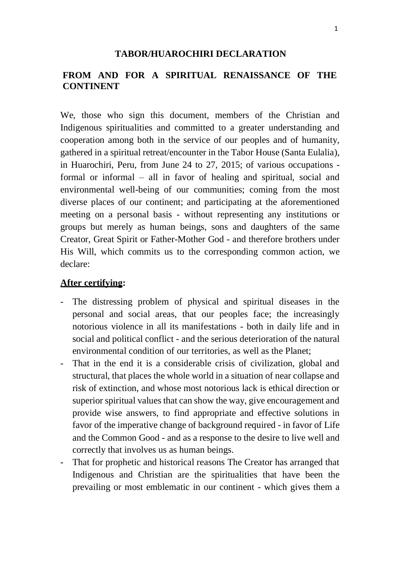# **FROM AND FOR A SPIRITUAL RENAISSANCE OF THE CONTINENT**

We, those who sign this document, members of the Christian and Indigenous spiritualities and committed to a greater understanding and cooperation among both in the service of our peoples and of humanity, gathered in a spiritual retreat/encounter in the Tabor House (Santa Eulalia), in Huarochiri, Peru, from June 24 to 27, 2015; of various occupations formal or informal – all in favor of healing and spiritual, social and environmental well-being of our communities; coming from the most diverse places of our continent; and participating at the aforementioned meeting on a personal basis - without representing any institutions or groups but merely as human beings, sons and daughters of the same Creator, Great Spirit or Father-Mother God - and therefore brothers under His Will, which commits us to the corresponding common action, we declare:

#### **After certifying:**

- The distressing problem of physical and spiritual diseases in the personal and social areas, that our peoples face; the increasingly notorious violence in all its manifestations - both in daily life and in social and political conflict - and the serious deterioration of the natural environmental condition of our territories, as well as the Planet;
- That in the end it is a considerable crisis of civilization, global and structural, that places the whole world in a situation of near collapse and risk of extinction, and whose most notorious lack is ethical direction or superior spiritual values that can show the way, give encouragement and provide wise answers, to find appropriate and effective solutions in favor of the imperative change of background required - in favor of Life and the Common Good - and as a response to the desire to live well and correctly that involves us as human beings.
- That for prophetic and historical reasons The Creator has arranged that Indigenous and Christian are the spiritualities that have been the prevailing or most emblematic in our continent - which gives them a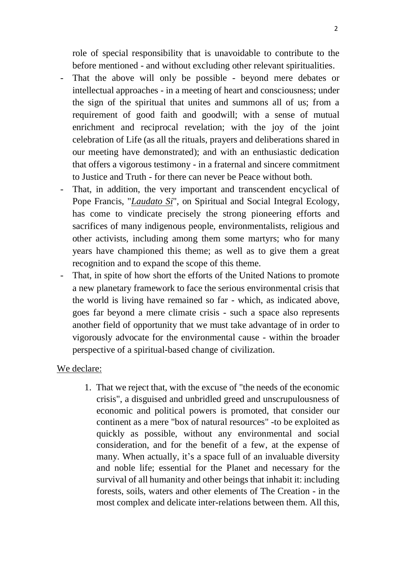role of special responsibility that is unavoidable to contribute to the before mentioned - and without excluding other relevant spiritualities.

- That the above will only be possible beyond mere debates or intellectual approaches - in a meeting of heart and consciousness; under the sign of the spiritual that unites and summons all of us; from a requirement of good faith and goodwill; with a sense of mutual enrichment and reciprocal revelation; with the joy of the joint celebration of Life (as all the rituals, prayers and deliberations shared in our meeting have demonstrated); and with an enthusiastic dedication that offers a vigorous testimony - in a fraternal and sincere commitment to Justice and Truth - for there can never be Peace without both.
- That, in addition, the very important and transcendent encyclical of Pope Francis, "*Laudato Si*", on Spiritual and Social Integral Ecology, has come to vindicate precisely the strong pioneering efforts and sacrifices of many indigenous people, environmentalists, religious and other activists, including among them some martyrs; who for many years have championed this theme; as well as to give them a great recognition and to expand the scope of this theme.
- That, in spite of how short the efforts of the United Nations to promote a new planetary framework to face the serious environmental crisis that the world is living have remained so far - which, as indicated above, goes far beyond a mere climate crisis - such a space also represents another field of opportunity that we must take advantage of in order to vigorously advocate for the environmental cause - within the broader perspective of a spiritual-based change of civilization.

### We declare:

1. That we reject that, with the excuse of "the needs of the economic crisis", a disguised and unbridled greed and unscrupulousness of economic and political powers is promoted, that consider our continent as a mere "box of natural resources" -to be exploited as quickly as possible, without any environmental and social consideration, and for the benefit of a few, at the expense of many. When actually, it's a space full of an invaluable diversity and noble life; essential for the Planet and necessary for the survival of all humanity and other beings that inhabit it: including forests, soils, waters and other elements of The Creation - in the most complex and delicate inter-relations between them. All this,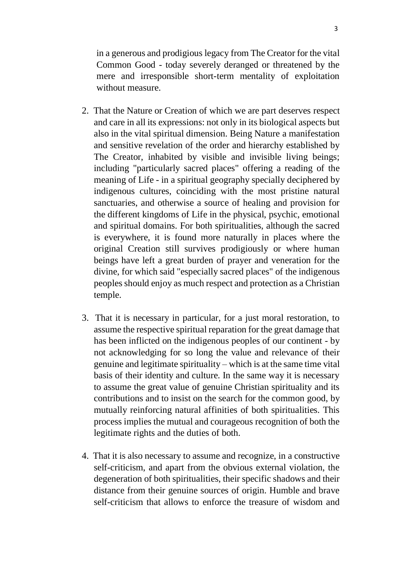in a generous and prodigious legacy from The Creator for the vital Common Good - today severely deranged or threatened by the mere and irresponsible short-term mentality of exploitation without measure.

- 2. That the Nature or Creation of which we are part deserves respect and care in all its expressions: not only in its biological aspects but also in the vital spiritual dimension. Being Nature a manifestation and sensitive revelation of the order and hierarchy established by The Creator, inhabited by visible and invisible living beings; including "particularly sacred places" offering a reading of the meaning of Life - in a spiritual geography specially deciphered by indigenous cultures, coinciding with the most pristine natural sanctuaries, and otherwise a source of healing and provision for the different kingdoms of Life in the physical, psychic, emotional and spiritual domains. For both spiritualities, although the sacred is everywhere, it is found more naturally in places where the original Creation still survives prodigiously or where human beings have left a great burden of prayer and veneration for the divine, for which said "especially sacred places" of the indigenous peoples should enjoy as much respect and protection as a Christian temple.
- 3. That it is necessary in particular, for a just moral restoration, to assume the respective spiritual reparation for the great damage that has been inflicted on the indigenous peoples of our continent - by not acknowledging for so long the value and relevance of their genuine and legitimate spirituality – which is at the same time vital basis of their identity and culture. In the same way it is necessary to assume the great value of genuine Christian spirituality and its contributions and to insist on the search for the common good, by mutually reinforcing natural affinities of both spiritualities. This process implies the mutual and courageous recognition of both the legitimate rights and the duties of both.
- 4. That it is also necessary to assume and recognize, in a constructive self-criticism, and apart from the obvious external violation, the degeneration of both spiritualities, their specific shadows and their distance from their genuine sources of origin. Humble and brave self-criticism that allows to enforce the treasure of wisdom and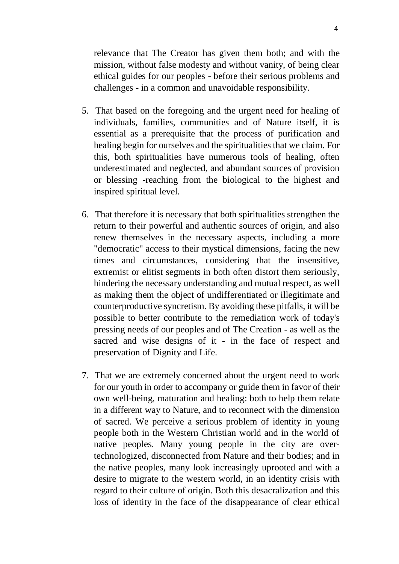relevance that The Creator has given them both; and with the mission, without false modesty and without vanity, of being clear ethical guides for our peoples - before their serious problems and challenges - in a common and unavoidable responsibility.

- 5. That based on the foregoing and the urgent need for healing of individuals, families, communities and of Nature itself, it is essential as a prerequisite that the process of purification and healing begin for ourselves and the spiritualities that we claim. For this, both spiritualities have numerous tools of healing, often underestimated and neglected, and abundant sources of provision or blessing -reaching from the biological to the highest and inspired spiritual level.
- 6. That therefore it is necessary that both spiritualities strengthen the return to their powerful and authentic sources of origin, and also renew themselves in the necessary aspects, including a more "democratic" access to their mystical dimensions, facing the new times and circumstances, considering that the insensitive, extremist or elitist segments in both often distort them seriously, hindering the necessary understanding and mutual respect, as well as making them the object of undifferentiated or illegitimate and counterproductive syncretism. By avoiding these pitfalls, it will be possible to better contribute to the remediation work of today's pressing needs of our peoples and of The Creation - as well as the sacred and wise designs of it - in the face of respect and preservation of Dignity and Life.
- 7. That we are extremely concerned about the urgent need to work for our youth in order to accompany or guide them in favor of their own well-being, maturation and healing: both to help them relate in a different way to Nature, and to reconnect with the dimension of sacred. We perceive a serious problem of identity in young people both in the Western Christian world and in the world of native peoples. Many young people in the city are overtechnologized, disconnected from Nature and their bodies; and in the native peoples, many look increasingly uprooted and with a desire to migrate to the western world, in an identity crisis with regard to their culture of origin. Both this desacralization and this loss of identity in the face of the disappearance of clear ethical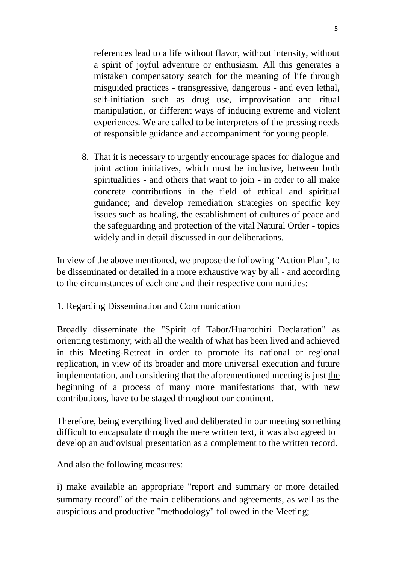references lead to a life without flavor, without intensity, without a spirit of joyful adventure or enthusiasm. All this generates a mistaken compensatory search for the meaning of life through misguided practices - transgressive, dangerous - and even lethal, self-initiation such as drug use, improvisation and ritual manipulation, or different ways of inducing extreme and violent experiences. We are called to be interpreters of the pressing needs of responsible guidance and accompaniment for young people.

8. That it is necessary to urgently encourage spaces for dialogue and joint action initiatives, which must be inclusive, between both spiritualities - and others that want to join - in order to all make concrete contributions in the field of ethical and spiritual guidance; and develop remediation strategies on specific key issues such as healing, the establishment of cultures of peace and the safeguarding and protection of the vital Natural Order - topics widely and in detail discussed in our deliberations.

In view of the above mentioned, we propose the following "Action Plan", to be disseminated or detailed in a more exhaustive way by all - and according to the circumstances of each one and their respective communities:

## 1. Regarding Dissemination and Communication

Broadly disseminate the "Spirit of Tabor/Huarochiri Declaration" as orienting testimony; with all the wealth of what has been lived and achieved in this Meeting-Retreat in order to promote its national or regional replication, in view of its broader and more universal execution and future implementation, and considering that the aforementioned meeting is just the beginning of a process of many more manifestations that, with new contributions, have to be staged throughout our continent.

Therefore, being everything lived and deliberated in our meeting something difficult to encapsulate through the mere written text, it was also agreed to develop an audiovisual presentation as a complement to the written record.

And also the following measures:

i) make available an appropriate "report and summary or more detailed summary record" of the main deliberations and agreements, as well as the auspicious and productive "methodology" followed in the Meeting;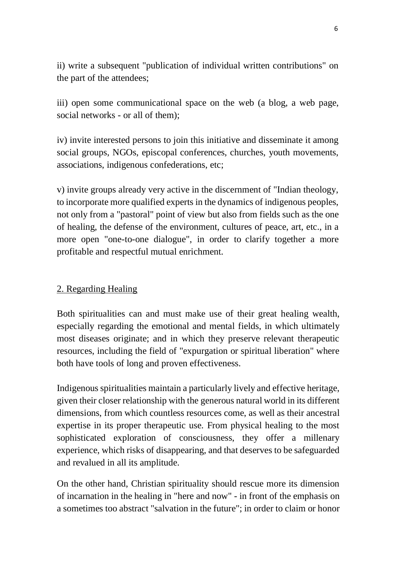ii) write a subsequent "publication of individual written contributions" on the part of the attendees;

iii) open some communicational space on the web (a blog, a web page, social networks - or all of them);

iv) invite interested persons to join this initiative and disseminate it among social groups, NGOs, episcopal conferences, churches, youth movements, associations, indigenous confederations, etc;

v) invite groups already very active in the discernment of "Indian theology, to incorporate more qualified experts in the dynamics of indigenous peoples, not only from a "pastoral" point of view but also from fields such as the one of healing, the defense of the environment, cultures of peace, art, etc., in a more open "one-to-one dialogue", in order to clarify together a more profitable and respectful mutual enrichment.

## 2. Regarding Healing

Both spiritualities can and must make use of their great healing wealth, especially regarding the emotional and mental fields, in which ultimately most diseases originate; and in which they preserve relevant therapeutic resources, including the field of "expurgation or spiritual liberation" where both have tools of long and proven effectiveness.

Indigenous spiritualities maintain a particularly lively and effective heritage, given their closer relationship with the generous natural world in its different dimensions, from which countless resources come, as well as their ancestral expertise in its proper therapeutic use. From physical healing to the most sophisticated exploration of consciousness, they offer a millenary experience, which risks of disappearing, and that deserves to be safeguarded and revalued in all its amplitude.

On the other hand, Christian spirituality should rescue more its dimension of incarnation in the healing in "here and now" - in front of the emphasis on a sometimes too abstract "salvation in the future"; in order to claim or honor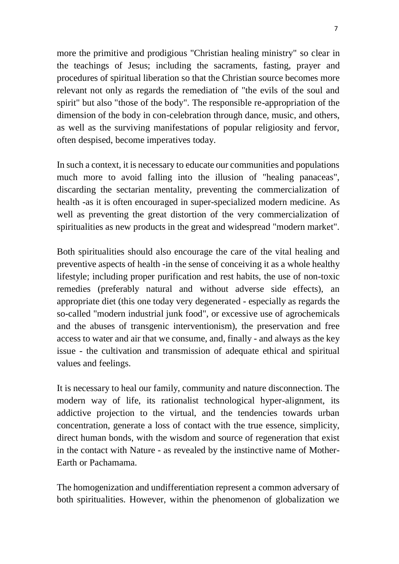more the primitive and prodigious "Christian healing ministry" so clear in the teachings of Jesus; including the sacraments, fasting, prayer and procedures of spiritual liberation so that the Christian source becomes more relevant not only as regards the remediation of "the evils of the soul and spirit" but also "those of the body". The responsible re-appropriation of the dimension of the body in con-celebration through dance, music, and others, as well as the surviving manifestations of popular religiosity and fervor, often despised, become imperatives today.

In such a context, it is necessary to educate our communities and populations much more to avoid falling into the illusion of "healing panaceas", discarding the sectarian mentality, preventing the commercialization of health -as it is often encouraged in super-specialized modern medicine. As well as preventing the great distortion of the very commercialization of spiritualities as new products in the great and widespread "modern market".

Both spiritualities should also encourage the care of the vital healing and preventive aspects of health -in the sense of conceiving it as a whole healthy lifestyle; including proper purification and rest habits, the use of non-toxic remedies (preferably natural and without adverse side effects), an appropriate diet (this one today very degenerated - especially as regards the so-called "modern industrial junk food", or excessive use of agrochemicals and the abuses of transgenic interventionism), the preservation and free access to water and air that we consume, and, finally - and always as the key issue - the cultivation and transmission of adequate ethical and spiritual values and feelings.

It is necessary to heal our family, community and nature disconnection. The modern way of life, its rationalist technological hyper-alignment, its addictive projection to the virtual, and the tendencies towards urban concentration, generate a loss of contact with the true essence, simplicity, direct human bonds, with the wisdom and source of regeneration that exist in the contact with Nature - as revealed by the instinctive name of Mother-Earth or Pachamama.

The homogenization and undifferentiation represent a common adversary of both spiritualities. However, within the phenomenon of globalization we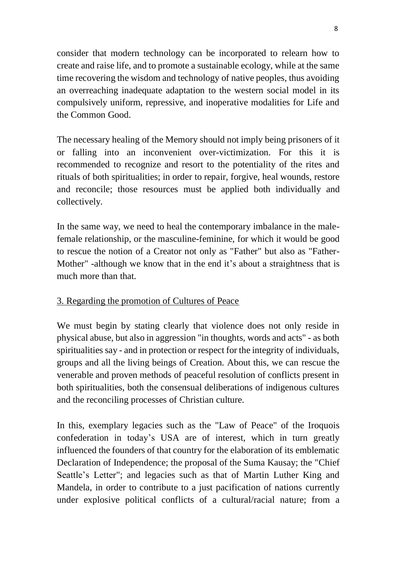consider that modern technology can be incorporated to relearn how to create and raise life, and to promote a sustainable ecology, while at the same time recovering the wisdom and technology of native peoples, thus avoiding an overreaching inadequate adaptation to the western social model in its compulsively uniform, repressive, and inoperative modalities for Life and the Common Good.

The necessary healing of the Memory should not imply being prisoners of it or falling into an inconvenient over-victimization. For this it is recommended to recognize and resort to the potentiality of the rites and rituals of both spiritualities; in order to repair, forgive, heal wounds, restore and reconcile; those resources must be applied both individually and collectively.

In the same way, we need to heal the contemporary imbalance in the malefemale relationship, or the masculine-feminine, for which it would be good to rescue the notion of a Creator not only as "Father" but also as "Father-Mother" -although we know that in the end it's about a straightness that is much more than that.

## 3. Regarding the promotion of Cultures of Peace

We must begin by stating clearly that violence does not only reside in physical abuse, but also in aggression "in thoughts, words and acts" - as both spiritualities say - and in protection or respect for the integrity of individuals, groups and all the living beings of Creation. About this, we can rescue the venerable and proven methods of peaceful resolution of conflicts present in both spiritualities, both the consensual deliberations of indigenous cultures and the reconciling processes of Christian culture.

In this, exemplary legacies such as the "Law of Peace" of the Iroquois confederation in today's USA are of interest, which in turn greatly influenced the founders of that country for the elaboration of its emblematic Declaration of Independence; the proposal of the Suma Kausay; the "Chief Seattle's Letter"; and legacies such as that of Martin Luther King and Mandela, in order to contribute to a just pacification of nations currently under explosive political conflicts of a cultural/racial nature; from a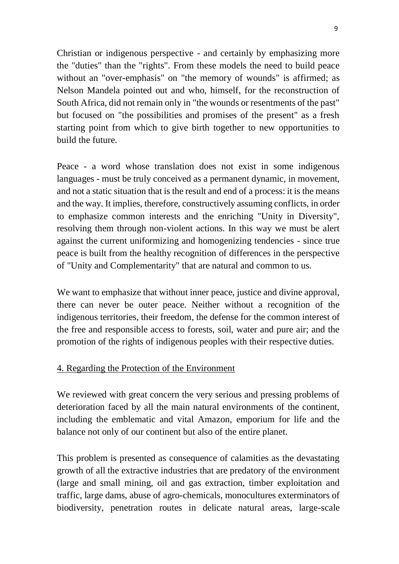Christian or indigenous perspective - and certainly by emphasizing more the "duties" than the "rights". From these models the need to build peace without an "over-emphasis" on "the memory of wounds" is affirmed; as Nelson Mandela pointed out and who, himself, for the reconstruction of South Africa, did not remain only in "the wounds or resentments of the past" but focused on "the possibilities and promises of the present" as a fresh starting point from which to give birth together to new opportunities to build the future.

Peace - a word whose translation does not exist in some indigenous languages - must be truly conceived as a permanent dynamic, in movement, and not a static situation that is the result and end of a process: it is the means and the way. It implies, therefore, constructively assuming conflicts, in order to emphasize common interests and the enriching "Unity in Diversity", resolving them through non-violent actions. In this way we must be alert against the current uniformizing and homogenizing tendencies - since true peace is built from the healthy recognition of differences in the perspective of "Unity and Complementarity" that are natural and common to us.

We want to emphasize that without inner peace, justice and divine approval, there can never be outer peace. Neither without a recognition of the indigenous territories, their freedom, the defense for the common interest of the free and responsible access to forests, soil, water and pure air; and the promotion of the rights of indigenous peoples with their respective duties.

### 4. Regarding the Protection of the Environment

We reviewed with great concern the very serious and pressing problems of deterioration faced by all the main natural environments of the continent, including the emblematic and vital Amazon, emporium for life and the balance not only of our continent but also of the entire planet.

This problem is presented as consequence of calamities as the devastating growth of all the extractive industries that are predatory of the environment (large and small mining, oil and gas extraction, timber exploitation and traffic, large dams, abuse of agro-chemicals, monocultures exterminators of biodiversity, penetration routes in delicate natural areas, large-scale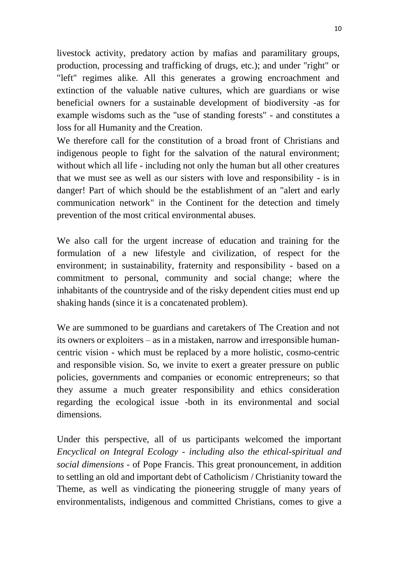livestock activity, predatory action by mafias and paramilitary groups, production, processing and trafficking of drugs, etc.); and under "right" or "left" regimes alike. All this generates a growing encroachment and extinction of the valuable native cultures, which are guardians or wise beneficial owners for a sustainable development of biodiversity -as for example wisdoms such as the "use of standing forests" - and constitutes a loss for all Humanity and the Creation.

We therefore call for the constitution of a broad front of Christians and indigenous people to fight for the salvation of the natural environment; without which all life - including not only the human but all other creatures that we must see as well as our sisters with love and responsibility - is in danger! Part of which should be the establishment of an "alert and early communication network" in the Continent for the detection and timely prevention of the most critical environmental abuses.

We also call for the urgent increase of education and training for the formulation of a new lifestyle and civilization, of respect for the environment; in sustainability, fraternity and responsibility - based on a commitment to personal, community and social change; where the inhabitants of the countryside and of the risky dependent cities must end up shaking hands (since it is a concatenated problem).

We are summoned to be guardians and caretakers of The Creation and not its owners or exploiters – as in a mistaken, narrow and irresponsible humancentric vision - which must be replaced by a more holistic, cosmo-centric and responsible vision. So, we invite to exert a greater pressure on public policies, governments and companies or economic entrepreneurs; so that they assume a much greater responsibility and ethics consideration regarding the ecological issue -both in its environmental and social dimensions.

Under this perspective, all of us participants welcomed the important *Encyclical on Integral Ecology - including also the ethical-spiritual and social dimensions* - of Pope Francis. This great pronouncement, in addition to settling an old and important debt of Catholicism / Christianity toward the Theme, as well as vindicating the pioneering struggle of many years of environmentalists, indigenous and committed Christians, comes to give a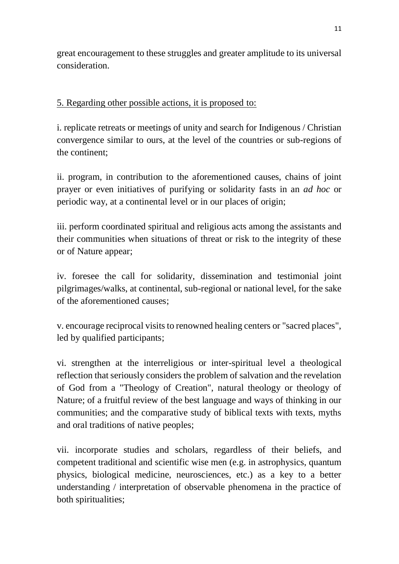great encouragement to these struggles and greater amplitude to its universal consideration.

# 5. Regarding other possible actions, it is proposed to:

i. replicate retreats or meetings of unity and search for Indigenous / Christian convergence similar to ours, at the level of the countries or sub-regions of the continent;

ii. program, in contribution to the aforementioned causes, chains of joint prayer or even initiatives of purifying or solidarity fasts in an *ad hoc* or periodic way, at a continental level or in our places of origin;

iii. perform coordinated spiritual and religious acts among the assistants and their communities when situations of threat or risk to the integrity of these or of Nature appear;

iv. foresee the call for solidarity, dissemination and testimonial joint pilgrimages/walks, at continental, sub-regional or national level, for the sake of the aforementioned causes;

v. encourage reciprocal visits to renowned healing centers or "sacred places", led by qualified participants;

vi. strengthen at the interreligious or inter-spiritual level a theological reflection that seriously considers the problem of salvation and the revelation of God from a "Theology of Creation", natural theology or theology of Nature; of a fruitful review of the best language and ways of thinking in our communities; and the comparative study of biblical texts with texts, myths and oral traditions of native peoples;

vii. incorporate studies and scholars, regardless of their beliefs, and competent traditional and scientific wise men (e.g. in astrophysics, quantum physics, biological medicine, neurosciences, etc.) as a key to a better understanding / interpretation of observable phenomena in the practice of both spiritualities;